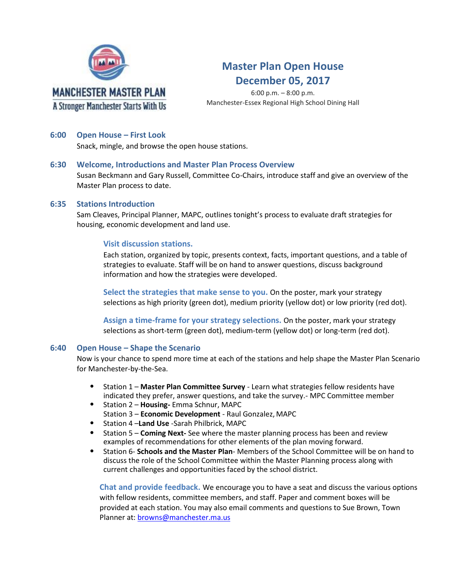

## **Master Plan Open House December 05, 2017**

6:00 p.m. – 8:00 p.m. Manchester-Essex Regional High School Dining Hall

#### **6:00 Open House – First Look**

Snack, mingle, and browse the open house stations.

#### **6:30 Welcome, Introductions and Master Plan Process Overview**

Susan Beckmann and Gary Russell, Committee Co-Chairs, introduce staff and give an overview of the Master Plan process to date.

#### **6:35 Stations Introduction**

Sam Cleaves, Principal Planner, MAPC, outlines tonight's process to evaluate draft strategies for housing, economic development and land use.

#### **Visit discussion stations.**

Each station, organized by topic, presents context, facts, important questions, and a table of strategies to evaluate. Staff will be on hand to answer questions, discuss background information and how the strategies were developed.

**Select the strategies that make sense to you.** On the poster, mark your strategy selections as high priority (green dot), medium priority (yellow dot) or low priority (red dot).

**Assign a time-frame for your strategy selections.** On the poster, mark your strategy selections as short-term (green dot), medium-term (yellow dot) or long-term (red dot).

#### **6:40 Open House – Shape the Scenario**

Now is your chance to spend more time at each of the stations and help shape the Master Plan Scenario for Manchester-by-the-Sea.

- Station 1 **Master Plan Committee Survey**  Learn what strategies fellow residents have indicated they prefer, answer questions, and take the survey.- MPC Committee member
- Station 2 **Housing-** Emma Schnur, MAPC Station 3 – **Economic Development** - Raul Gonzalez, MAPC
- Station 4 –**Land Use** -Sarah Philbrick, MAPC
- Station 5 **Coming Next-** See where the master planning process has been and review examples of recommendations for other elements of the plan moving forward.
- Station 6- **Schools and the Master Plan** Members of the School Committee will be on hand to discuss the role of the School Committee within the Master Planning process along with current challenges and opportunities faced by the school district.

**Chat and provide feedback.** We encourage you to have a seat and discuss the various options with fellow residents, committee members, and staff. Paper and comment boxes will be provided at each station. You may also email comments and questions to Sue Brown, Town Planner at: [browns@manchester.ma.us](mailto:browns@manchester.ma.us)